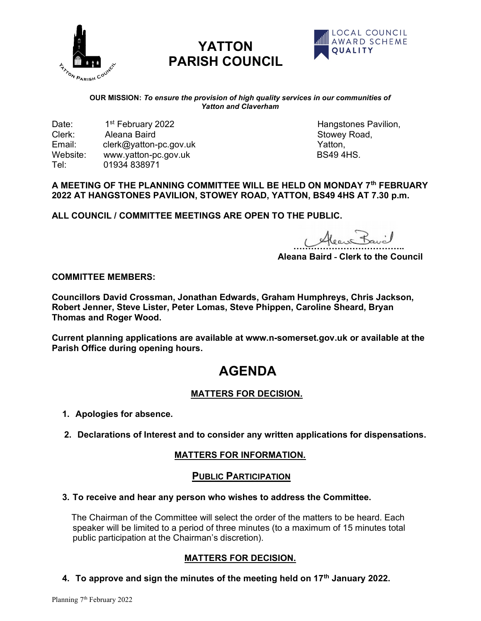

# YATTON PARISH COUNCIL



#### OUR MISSION: To ensure the provision of high quality services in our communities of Yatton and Claverham

Date: 1<sup>st</sup> February 2022 and the control of the Hangstones Pavilion, and the Clerk: 1.1st Aleana Baird and the Clerk: Aleana Baird **Stowey Road, Clerk: Aleana Baird** Stowey Road, Email: clerk@yatton-pc.gov.uk<br>Website: www.vatton-pc.gov.uk BS49 4HS Website: www.yatton-pc.gov.uk Tel: 01934 838971

## A MEETING OF THE PLANNING COMMITTEE WILL BE HELD ON MONDAY 7th FEBRUARY 2022 AT HANGSTONES PAVILION, STOWEY ROAD, YATTON, BS49 4HS AT 7.30 p.m.

ALL COUNCIL / COMMITTEE MEETINGS ARE OPEN TO THE PUBLIC.

Alean Bavil

Aleana Baird - Clerk to the Council

#### COMMITTEE MEMBERS:

Councillors David Crossman, Jonathan Edwards, Graham Humphreys, Chris Jackson, Robert Jenner, Steve Lister, Peter Lomas, Steve Phippen, Caroline Sheard, Bryan Thomas and Roger Wood.

Current planning applications are available at www.n-somerset.gov.uk or available at the Parish Office during opening hours.

## AGENDA

## MATTERS FOR DECISION.

- 1. Apologies for absence.
- 2. Declarations of Interest and to consider any written applications for dispensations.

## MATTERS FOR INFORMATION.

#### PUBLIC PARTICIPATION

#### 3. To receive and hear any person who wishes to address the Committee.

 The Chairman of the Committee will select the order of the matters to be heard. Each speaker will be limited to a period of three minutes (to a maximum of 15 minutes total public participation at the Chairman's discretion).

## MATTERS FOR DECISION.

4. To approve and sign the minutes of the meeting held on  $17<sup>th</sup>$  January 2022.